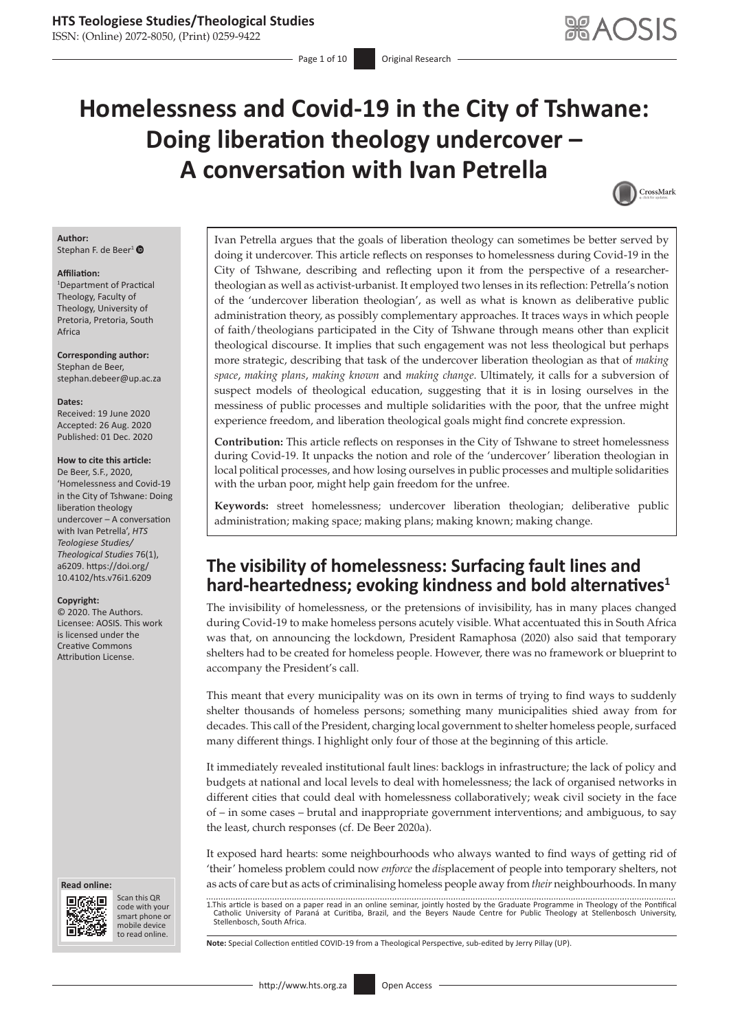ISSN: (Online) 2072-8050, (Print) 0259-9422

# **Homelessness and Covid-19 in the City of Tshwane: Doing liberation theology undercover – A conversation with Ivan Petrella**



#### **Author:** Stephan F. de Beer<sup>[1](https://orcid.org/0000-0002-8614-099X)</sup> $\bullet$

#### **Affiliation:**

1 Department of Practical Theology, Faculty of Theology, University of Pretoria, Pretoria, South Africa

**Corresponding author:** Stephan de Beer, [stephan.debeer@up.ac.za](mailto:stephan.debeer@up.ac.za)

#### **Dates:**

Received: 19 June 2020 Accepted: 26 Aug. 2020 Published: 01 Dec. 2020

#### **How to cite this article:**

De Beer, S.F., 2020, 'Homelessness and Covid-19 in the City of Tshwane: Doing liberation theology undercover – A conversation with Ivan Petrella', *HTS Teologiese Studies/ Theological Studies* 76(1), a6209. [https://doi.org/](https://doi.org/10.4102/hts.v76i1.6209) [10.4102/hts.v76i1.6209](https://doi.org/10.4102/hts.v76i1.6209)

#### **Copyright:**

© 2020. The Authors. Licensee: AOSIS. This work is licensed under the Creative Commons Attribution License.

#### **Read online: Read online:**



Scan this QR code with your Scan this QR<br>code with your<br>smart phone or<br>mobile device mobile device to read online. to read online.

Ivan Petrella argues that the goals of liberation theology can sometimes be better served by doing it undercover. This article reflects on responses to homelessness during Covid-19 in the City of Tshwane, describing and reflecting upon it from the perspective of a researchertheologian as well as activist-urbanist. It employed two lenses in its reflection: Petrella's notion of the 'undercover liberation theologian', as well as what is known as deliberative public administration theory, as possibly complementary approaches. It traces ways in which people of faith/theologians participated in the City of Tshwane through means other than explicit theological discourse. It implies that such engagement was not less theological but perhaps more strategic, describing that task of the undercover liberation theologian as that of *making space*, *making plans*, *making known* and *making change*. Ultimately, it calls for a subversion of suspect models of theological education, suggesting that it is in losing ourselves in the messiness of public processes and multiple solidarities with the poor, that the unfree might experience freedom, and liberation theological goals might find concrete expression.

**Contribution:** This article reflects on responses in the City of Tshwane to street homelessness during Covid-19. It unpacks the notion and role of the 'undercover' liberation theologian in local political processes, and how losing ourselves in public processes and multiple solidarities with the urban poor, might help gain freedom for the unfree.

**Keywords:** street homelessness; undercover liberation theologian; deliberative public administration; making space; making plans; making known; making change.

# **The visibility of homelessness: Surfacing fault lines and hard-heartedness; evoking kindness and bold alternatives<sup>1</sup>**

The invisibility of homelessness, or the pretensions of invisibility, has in many places changed during Covid-19 to make homeless persons acutely visible. What accentuated this in South Africa was that, on announcing the lockdown, President Ramaphosa (2020) also said that temporary shelters had to be created for homeless people. However, there was no framework or blueprint to accompany the President's call.

This meant that every municipality was on its own in terms of trying to find ways to suddenly shelter thousands of homeless persons; something many municipalities shied away from for decades. This call of the President, charging local government to shelter homeless people, surfaced many different things. I highlight only four of those at the beginning of this article.

It immediately revealed institutional fault lines: backlogs in infrastructure; the lack of policy and budgets at national and local levels to deal with homelessness; the lack of organised networks in different cities that could deal with homelessness collaboratively; weak civil society in the face of – in some cases – brutal and inappropriate government interventions; and ambiguous, to say the least, church responses (cf. De Beer 2020a).

It exposed hard hearts: some neighbourhoods who always wanted to find ways of getting rid of 'their' homeless problem could now *enforce* the *dis*placement of people into temporary shelters, not as acts of care but as acts of criminalising homeless people away from *their* neighbourhoods. In many

1.This article is based on a paper read in an online seminar, jointly hosted by the Graduate Programme in Theology of the Pontifical Catholic University of Paraná at Curitiba, Brazil, and the Beyers Naude Centre for Public Theology at Stellenbosch University, Stellenbosch, South Africa.

**Note:** Special Collection entitled COVID-19 from a Theological Perspective, sub-edited by Jerry Pillay (UP).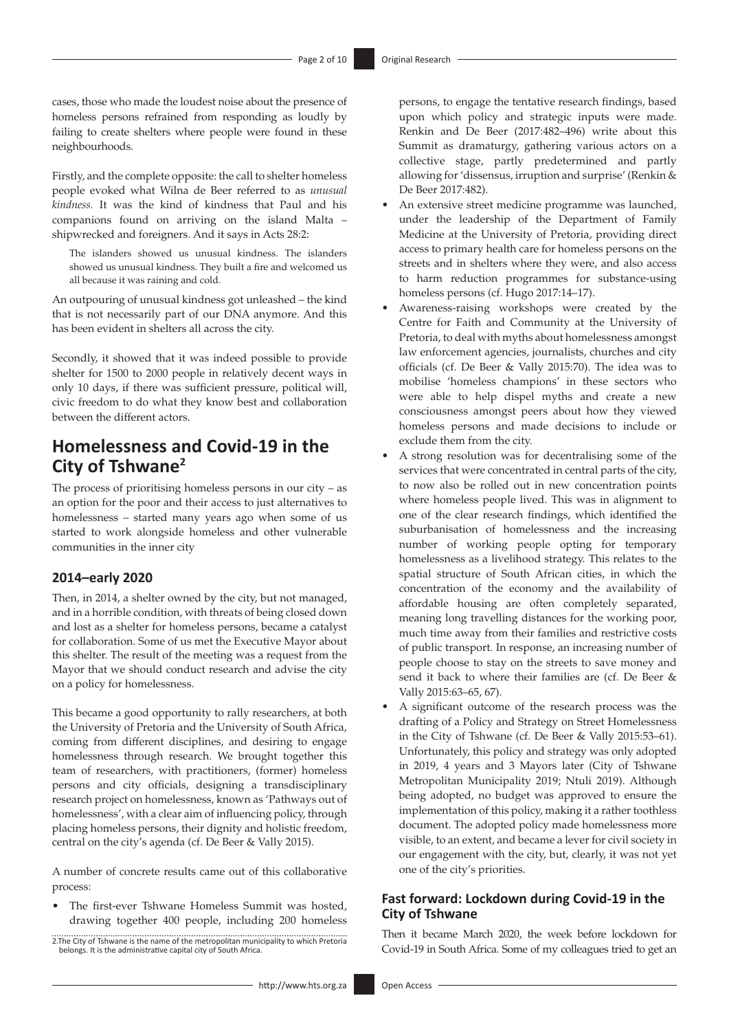cases, those who made the loudest noise about the presence of homeless persons refrained from responding as loudly by failing to create shelters where people were found in these neighbourhoods.

Firstly, and the complete opposite: the call to shelter homeless people evoked what Wilna de Beer referred to as *unusual kindness.* It was the kind of kindness that Paul and his companions found on arriving on the island Malta – shipwrecked and foreigners. And it says in Acts 28:2:

The islanders showed us unusual kindness. The islanders showed us unusual kindness. They built a fire and welcomed us all because it was raining and cold.

An outpouring of unusual kindness got unleashed – the kind that is not necessarily part of our DNA anymore. And this has been evident in shelters all across the city.

Secondly, it showed that it was indeed possible to provide shelter for 1500 to 2000 people in relatively decent ways in only 10 days, if there was sufficient pressure, political will, civic freedom to do what they know best and collaboration between the different actors.

# **Homelessness and Covid-19 in the City of Tshwane<sup>2</sup>**

The process of prioritising homeless persons in our city – as an option for the poor and their access to just alternatives to homelessness – started many years ago when some of us started to work alongside homeless and other vulnerable communities in the inner city

### **2014–early 2020**

Then, in 2014, a shelter owned by the city, but not managed, and in a horrible condition, with threats of being closed down and lost as a shelter for homeless persons, became a catalyst for collaboration. Some of us met the Executive Mayor about this shelter. The result of the meeting was a request from the Mayor that we should conduct research and advise the city on a policy for homelessness.

This became a good opportunity to rally researchers, at both the University of Pretoria and the University of South Africa, coming from different disciplines, and desiring to engage homelessness through research. We brought together this team of researchers, with practitioners, (former) homeless persons and city officials, designing a transdisciplinary research project on homelessness, known as 'Pathways out of homelessness', with a clear aim of influencing policy, through placing homeless persons, their dignity and holistic freedom, central on the city's agenda (cf. De Beer & Vally 2015).

A number of concrete results came out of this collaborative process:

- The first-ever Tshwane Homeless Summit was hosted, drawing together 400 people, including 200 homeless
- 2.The City of Tshwane is the name of the metropolitan municipality to which Pretoria belongs. It is the administrative capital city of South Africa.

persons, to engage the tentative research findings, based upon which policy and strategic inputs were made. Renkin and De Beer (2017:482–496) write about this Summit as dramaturgy, gathering various actors on a collective stage, partly predetermined and partly allowing for 'dissensus, irruption and surprise' (Renkin & De Beer 2017:482).

- An extensive street medicine programme was launched, under the leadership of the Department of Family Medicine at the University of Pretoria, providing direct access to primary health care for homeless persons on the streets and in shelters where they were, and also access to harm reduction programmes for substance-using homeless persons (cf. Hugo 2017:14–17).
- Awareness-raising workshops were created by the Centre for Faith and Community at the University of Pretoria, to deal with myths about homelessness amongst law enforcement agencies, journalists, churches and city officials (cf. De Beer & Vally 2015:70). The idea was to mobilise 'homeless champions' in these sectors who were able to help dispel myths and create a new consciousness amongst peers about how they viewed homeless persons and made decisions to include or exclude them from the city.
- A strong resolution was for decentralising some of the services that were concentrated in central parts of the city, to now also be rolled out in new concentration points where homeless people lived. This was in alignment to one of the clear research findings, which identified the suburbanisation of homelessness and the increasing number of working people opting for temporary homelessness as a livelihood strategy. This relates to the spatial structure of South African cities, in which the concentration of the economy and the availability of affordable housing are often completely separated, meaning long travelling distances for the working poor, much time away from their families and restrictive costs of public transport. In response, an increasing number of people choose to stay on the streets to save money and send it back to where their families are (cf. De Beer & Vally 2015:63–65, 67).
- A significant outcome of the research process was the drafting of a Policy and Strategy on Street Homelessness in the City of Tshwane (cf. De Beer & Vally 2015:53–61). Unfortunately, this policy and strategy was only adopted in 2019, 4 years and 3 Mayors later (City of Tshwane Metropolitan Municipality 2019; Ntuli 2019). Although being adopted, no budget was approved to ensure the implementation of this policy, making it a rather toothless document. The adopted policy made homelessness more visible, to an extent, and became a lever for civil society in our engagement with the city, but, clearly, it was not yet one of the city's priorities.

### **Fast forward: Lockdown during Covid-19 in the City of Tshwane**

Then it became March 2020, the week before lockdown for Covid-19 in South Africa. Some of my colleagues tried to get an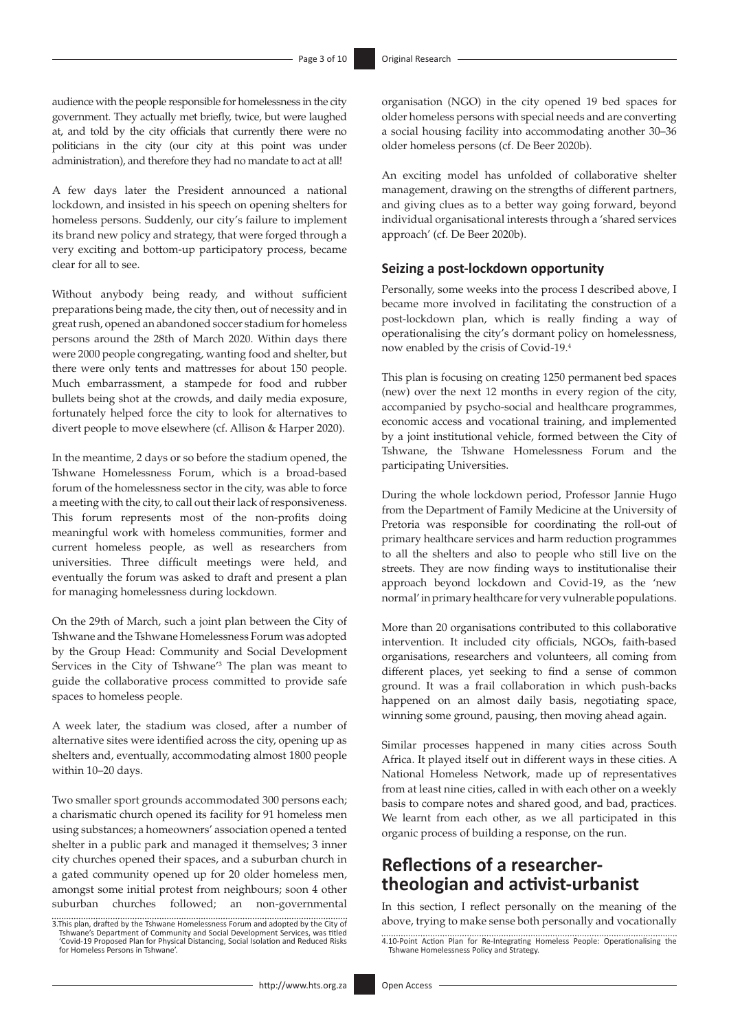audience with the people responsible for homelessness in the city government. They actually met briefly, twice, but were laughed at, and told by the city officials that currently there were no politicians in the city (our city at this point was under administration), and therefore they had no mandate to act at all!

A few days later the President announced a national lockdown, and insisted in his speech on opening shelters for homeless persons. Suddenly, our city's failure to implement its brand new policy and strategy, that were forged through a very exciting and bottom-up participatory process, became clear for all to see.

Without anybody being ready, and without sufficient preparations being made, the city then, out of necessity and in great rush, opened an abandoned soccer stadium for homeless persons around the 28th of March 2020. Within days there were 2000 people congregating, wanting food and shelter, but there were only tents and mattresses for about 150 people. Much embarrassment, a stampede for food and rubber bullets being shot at the crowds, and daily media exposure, fortunately helped force the city to look for alternatives to divert people to move elsewhere (cf. Allison & Harper 2020).

In the meantime, 2 days or so before the stadium opened, the Tshwane Homelessness Forum, which is a broad-based forum of the homelessness sector in the city, was able to force a meeting with the city, to call out their lack of responsiveness. This forum represents most of the non-profits doing meaningful work with homeless communities, former and current homeless people, as well as researchers from universities. Three difficult meetings were held, and eventually the forum was asked to draft and present a plan for managing homelessness during lockdown.

On the 29th of March, such a joint plan between the City of Tshwane and the Tshwane Homelessness Forum was adopted by the Group Head: Community and Social Development Services in the City of Tshwane'3 The plan was meant to guide the collaborative process committed to provide safe spaces to homeless people.

A week later, the stadium was closed, after a number of alternative sites were identified across the city, opening up as shelters and, eventually, accommodating almost 1800 people within 10–20 days.

Two smaller sport grounds accommodated 300 persons each; a charismatic church opened its facility for 91 homeless men using substances; a homeowners' association opened a tented shelter in a public park and managed it themselves; 3 inner city churches opened their spaces, and a suburban church in a gated community opened up for 20 older homeless men, amongst some initial protest from neighbours; soon 4 other suburban churches followed; an non-governmental

organisation (NGO) in the city opened 19 bed spaces for older homeless persons with special needs and are converting a social housing facility into accommodating another 30–36 older homeless persons (cf. De Beer 2020b).

An exciting model has unfolded of collaborative shelter management, drawing on the strengths of different partners, and giving clues as to a better way going forward, beyond individual organisational interests through a 'shared services approach' (cf. De Beer 2020b).

### **Seizing a post-lockdown opportunity**

Personally, some weeks into the process I described above, I became more involved in facilitating the construction of a post-lockdown plan, which is really finding a way of operationalising the city's dormant policy on homelessness, now enabled by the crisis of Covid-19.4

This plan is focusing on creating 1250 permanent bed spaces (new) over the next 12 months in every region of the city, accompanied by psycho-social and healthcare programmes, economic access and vocational training, and implemented by a joint institutional vehicle, formed between the City of Tshwane, the Tshwane Homelessness Forum and the participating Universities.

During the whole lockdown period, Professor Jannie Hugo from the Department of Family Medicine at the University of Pretoria was responsible for coordinating the roll-out of primary healthcare services and harm reduction programmes to all the shelters and also to people who still live on the streets. They are now finding ways to institutionalise their approach beyond lockdown and Covid-19, as the 'new normal' in primary healthcare for very vulnerable populations.

More than 20 organisations contributed to this collaborative intervention. It included city officials, NGOs, faith-based organisations, researchers and volunteers, all coming from different places, yet seeking to find a sense of common ground. It was a frail collaboration in which push-backs happened on an almost daily basis, negotiating space, winning some ground, pausing, then moving ahead again.

Similar processes happened in many cities across South Africa. It played itself out in different ways in these cities. A National Homeless Network, made up of representatives from at least nine cities, called in with each other on a weekly basis to compare notes and shared good, and bad, practices. We learnt from each other, as we all participated in this organic process of building a response, on the run.

# **Reflections of a researchertheologian and activist-urbanist**

In this section, I reflect personally on the meaning of the above, trying to make sense both personally and vocationally

<sup>3.</sup>This plan, drafted by the Tshwane Homelessness Forum and adopted by the City of Tshwane's Department of Community and Social Development Services, was titled 'Covid-19 Proposed Plan for Physical Distancing, Social Isolation and Reduced Risks for Homeless Persons in Tshwane'.

<sup>4.10-</sup>Point Action Plan for Re-Integrating Homeless People: Operationalising the Tshwane Homelessness Policy and Strategy.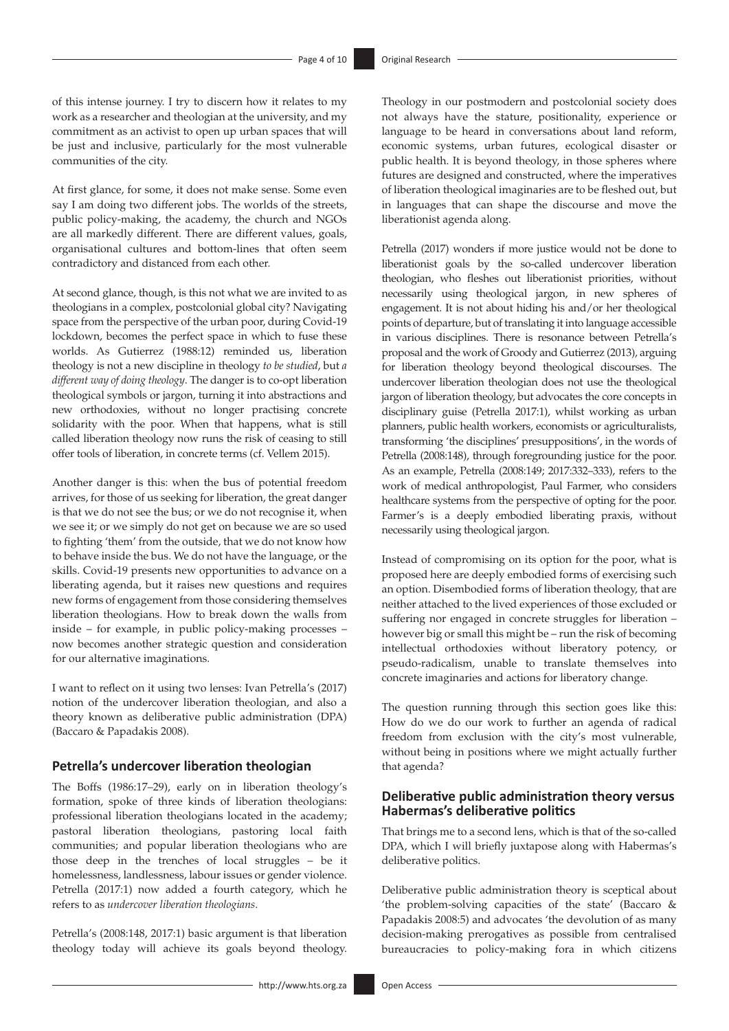of this intense journey. I try to discern how it relates to my work as a researcher and theologian at the university, and my commitment as an activist to open up urban spaces that will be just and inclusive, particularly for the most vulnerable communities of the city.

At first glance, for some, it does not make sense. Some even say I am doing two different jobs. The worlds of the streets, public policy-making, the academy, the church and NGOs are all markedly different. There are different values, goals, organisational cultures and bottom-lines that often seem contradictory and distanced from each other.

At second glance, though, is this not what we are invited to as theologians in a complex, postcolonial global city? Navigating space from the perspective of the urban poor, during Covid-19 lockdown, becomes the perfect space in which to fuse these worlds. As Gutierrez (1988:12) reminded us, liberation theology is not a new discipline in theology *to be studied*, but *a different way of doing theology*. The danger is to co-opt liberation theological symbols or jargon, turning it into abstractions and new orthodoxies, without no longer practising concrete solidarity with the poor. When that happens, what is still called liberation theology now runs the risk of ceasing to still offer tools of liberation, in concrete terms (cf. Vellem 2015).

Another danger is this: when the bus of potential freedom arrives, for those of us seeking for liberation, the great danger is that we do not see the bus; or we do not recognise it, when we see it; or we simply do not get on because we are so used to fighting 'them' from the outside, that we do not know how to behave inside the bus. We do not have the language, or the skills. Covid-19 presents new opportunities to advance on a liberating agenda, but it raises new questions and requires new forms of engagement from those considering themselves liberation theologians. How to break down the walls from inside – for example, in public policy-making processes – now becomes another strategic question and consideration for our alternative imaginations.

I want to reflect on it using two lenses: Ivan Petrella's (2017) notion of the undercover liberation theologian, and also a theory known as deliberative public administration (DPA) (Baccaro & Papadakis 2008).

### **Petrella's undercover liberation theologian**

The Boffs (1986:17–29), early on in liberation theology's formation, spoke of three kinds of liberation theologians: professional liberation theologians located in the academy; pastoral liberation theologians, pastoring local faith communities; and popular liberation theologians who are those deep in the trenches of local struggles – be it homelessness, landlessness, labour issues or gender violence. Petrella (2017:1) now added a fourth category, which he refers to as *undercover liberation theologians*.

Petrella's (2008:148, 2017:1) basic argument is that liberation theology today will achieve its goals beyond theology. not always have the stature, positionality, experience or language to be heard in conversations about land reform, economic systems, urban futures, ecological disaster or public health. It is beyond theology, in those spheres where futures are designed and constructed, where the imperatives of liberation theological imaginaries are to be fleshed out, but in languages that can shape the discourse and move the liberationist agenda along.

Theology in our postmodern and postcolonial society does

Petrella (2017) wonders if more justice would not be done to liberationist goals by the so-called undercover liberation theologian, who fleshes out liberationist priorities, without necessarily using theological jargon, in new spheres of engagement. It is not about hiding his and/or her theological points of departure, but of translating it into language accessible in various disciplines. There is resonance between Petrella's proposal and the work of Groody and Gutierrez (2013), arguing for liberation theology beyond theological discourses. The undercover liberation theologian does not use the theological jargon of liberation theology, but advocates the core concepts in disciplinary guise (Petrella 2017:1), whilst working as urban planners, public health workers, economists or agriculturalists, transforming 'the disciplines' presuppositions', in the words of Petrella (2008:148), through foregrounding justice for the poor. As an example, Petrella (2008:149; 2017:332–333), refers to the work of medical anthropologist, Paul Farmer, who considers healthcare systems from the perspective of opting for the poor. Farmer's is a deeply embodied liberating praxis, without necessarily using theological jargon.

Instead of compromising on its option for the poor, what is proposed here are deeply embodied forms of exercising such an option. Disembodied forms of liberation theology, that are neither attached to the lived experiences of those excluded or suffering nor engaged in concrete struggles for liberation – however big or small this might be – run the risk of becoming intellectual orthodoxies without liberatory potency, or pseudo-radicalism, unable to translate themselves into concrete imaginaries and actions for liberatory change.

The question running through this section goes like this: How do we do our work to further an agenda of radical freedom from exclusion with the city's most vulnerable, without being in positions where we might actually further that agenda?

### **Deliberative public administration theory versus Habermas's deliberative politics**

That brings me to a second lens, which is that of the so-called DPA, which I will briefly juxtapose along with Habermas's deliberative politics.

Deliberative public administration theory is sceptical about 'the problem-solving capacities of the state' (Baccaro & Papadakis 2008:5) and advocates 'the devolution of as many decision-making prerogatives as possible from centralised bureaucracies to policy-making fora in which citizens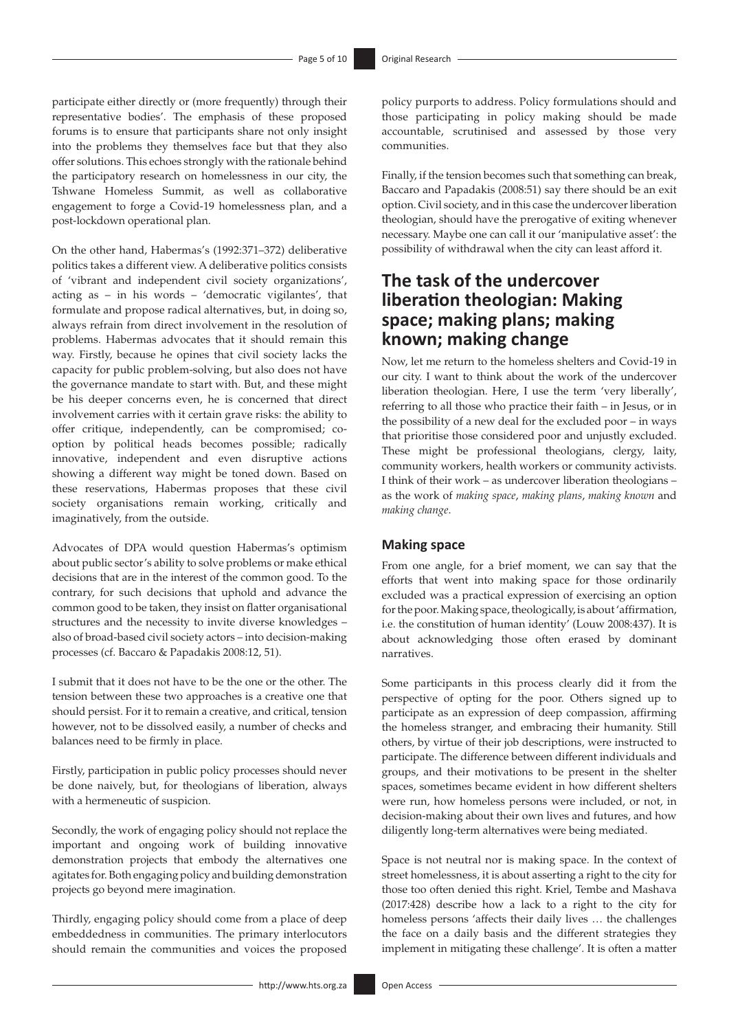participate either directly or (more frequently) through their representative bodies'. The emphasis of these proposed forums is to ensure that participants share not only insight into the problems they themselves face but that they also offer solutions. This echoes strongly with the rationale behind the participatory research on homelessness in our city, the Tshwane Homeless Summit, as well as collaborative engagement to forge a Covid-19 homelessness plan, and a post-lockdown operational plan.

On the other hand, Habermas's (1992:371–372) deliberative politics takes a different view. A deliberative politics consists of 'vibrant and independent civil society organizations', acting as – in his words – 'democratic vigilantes', that formulate and propose radical alternatives, but, in doing so, always refrain from direct involvement in the resolution of problems. Habermas advocates that it should remain this way. Firstly, because he opines that civil society lacks the capacity for public problem-solving, but also does not have the governance mandate to start with. But, and these might be his deeper concerns even, he is concerned that direct involvement carries with it certain grave risks: the ability to offer critique, independently, can be compromised; cooption by political heads becomes possible; radically innovative, independent and even disruptive actions showing a different way might be toned down. Based on these reservations, Habermas proposes that these civil society organisations remain working, critically and imaginatively, from the outside.

Advocates of DPA would question Habermas's optimism about public sector's ability to solve problems or make ethical decisions that are in the interest of the common good. To the contrary, for such decisions that uphold and advance the common good to be taken, they insist on flatter organisational structures and the necessity to invite diverse knowledges – also of broad-based civil society actors – into decision-making processes (cf. Baccaro & Papadakis 2008:12, 51).

I submit that it does not have to be the one or the other. The tension between these two approaches is a creative one that should persist. For it to remain a creative, and critical, tension however, not to be dissolved easily, a number of checks and balances need to be firmly in place.

Firstly, participation in public policy processes should never be done naively, but, for theologians of liberation, always with a hermeneutic of suspicion.

Secondly, the work of engaging policy should not replace the important and ongoing work of building innovative demonstration projects that embody the alternatives one agitates for. Both engaging policy and building demonstration projects go beyond mere imagination.

Thirdly, engaging policy should come from a place of deep embeddedness in communities. The primary interlocutors should remain the communities and voices the proposed

policy purports to address. Policy formulations should and those participating in policy making should be made accountable, scrutinised and assessed by those very communities.

Finally, if the tension becomes such that something can break, Baccaro and Papadakis (2008:51) say there should be an exit option. Civil society, and in this case the undercover liberation theologian, should have the prerogative of exiting whenever necessary. Maybe one can call it our 'manipulative asset': the possibility of withdrawal when the city can least afford it.

# **The task of the undercover liberation theologian: Making space; making plans; making known; making change**

Now, let me return to the homeless shelters and Covid-19 in our city. I want to think about the work of the undercover liberation theologian. Here, I use the term 'very liberally', referring to all those who practice their faith – in Jesus, or in the possibility of a new deal for the excluded poor – in ways that prioritise those considered poor and unjustly excluded. These might be professional theologians, clergy, laity, community workers, health workers or community activists. I think of their work – as undercover liberation theologians – as the work of *making space*, *making plans*, *making known* and *making change*.

### **Making space**

From one angle, for a brief moment, we can say that the efforts that went into making space for those ordinarily excluded was a practical expression of exercising an option for the poor. Making space, theologically, is about 'affirmation, i.e. the constitution of human identity' (Louw 2008:437). It is about acknowledging those often erased by dominant narratives.

Some participants in this process clearly did it from the perspective of opting for the poor. Others signed up to participate as an expression of deep compassion, affirming the homeless stranger, and embracing their humanity. Still others, by virtue of their job descriptions, were instructed to participate. The difference between different individuals and groups, and their motivations to be present in the shelter spaces, sometimes became evident in how different shelters were run, how homeless persons were included, or not, in decision-making about their own lives and futures, and how diligently long-term alternatives were being mediated.

Space is not neutral nor is making space. In the context of street homelessness, it is about asserting a right to the city for those too often denied this right. Kriel, Tembe and Mashava (2017:428) describe how a lack to a right to the city for homeless persons 'affects their daily lives … the challenges the face on a daily basis and the different strategies they implement in mitigating these challenge'. It is often a matter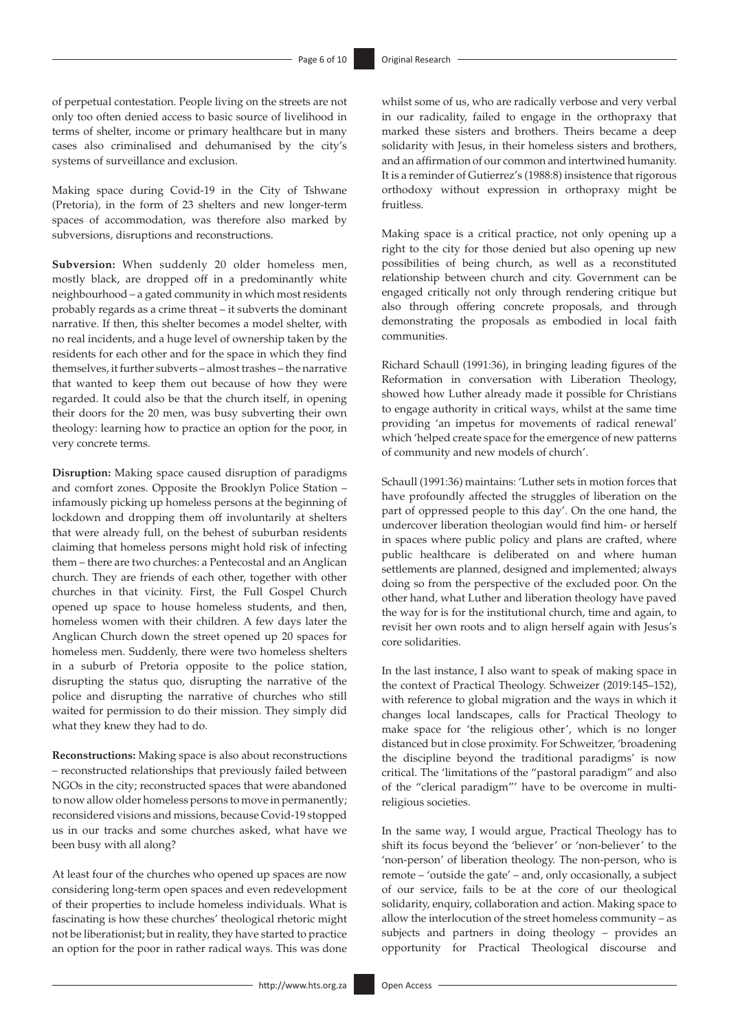of perpetual contestation. People living on the streets are not only too often denied access to basic source of livelihood in terms of shelter, income or primary healthcare but in many cases also criminalised and dehumanised by the city's systems of surveillance and exclusion.

Making space during Covid-19 in the City of Tshwane (Pretoria), in the form of 23 shelters and new longer-term spaces of accommodation, was therefore also marked by subversions, disruptions and reconstructions.

**Subversion:** When suddenly 20 older homeless men, mostly black, are dropped off in a predominantly white neighbourhood – a gated community in which most residents probably regards as a crime threat – it subverts the dominant narrative. If then, this shelter becomes a model shelter, with no real incidents, and a huge level of ownership taken by the residents for each other and for the space in which they find themselves, it further subverts – almost trashes – the narrative that wanted to keep them out because of how they were regarded. It could also be that the church itself, in opening their doors for the 20 men, was busy subverting their own theology: learning how to practice an option for the poor, in very concrete terms.

**Disruption:** Making space caused disruption of paradigms and comfort zones. Opposite the Brooklyn Police Station – infamously picking up homeless persons at the beginning of lockdown and dropping them off involuntarily at shelters that were already full, on the behest of suburban residents claiming that homeless persons might hold risk of infecting them – there are two churches: a Pentecostal and an Anglican church. They are friends of each other, together with other churches in that vicinity. First, the Full Gospel Church opened up space to house homeless students, and then, homeless women with their children. A few days later the Anglican Church down the street opened up 20 spaces for homeless men. Suddenly, there were two homeless shelters in a suburb of Pretoria opposite to the police station, disrupting the status quo, disrupting the narrative of the police and disrupting the narrative of churches who still waited for permission to do their mission. They simply did what they knew they had to do.

**Reconstructions:** Making space is also about reconstructions – reconstructed relationships that previously failed between NGOs in the city; reconstructed spaces that were abandoned to now allow older homeless persons to move in permanently; reconsidered visions and missions, because Covid-19 stopped us in our tracks and some churches asked, what have we been busy with all along?

At least four of the churches who opened up spaces are now considering long-term open spaces and even redevelopment of their properties to include homeless individuals. What is fascinating is how these churches' theological rhetoric might not be liberationist; but in reality, they have started to practice an option for the poor in rather radical ways. This was done

whilst some of us, who are radically verbose and very verbal in our radicality, failed to engage in the orthopraxy that marked these sisters and brothers. Theirs became a deep solidarity with Jesus, in their homeless sisters and brothers, and an affirmation of our common and intertwined humanity. It is a reminder of Gutierrez's (1988:8) insistence that rigorous orthodoxy without expression in orthopraxy might be fruitless.

Making space is a critical practice, not only opening up a right to the city for those denied but also opening up new possibilities of being church, as well as a reconstituted relationship between church and city. Government can be engaged critically not only through rendering critique but also through offering concrete proposals, and through demonstrating the proposals as embodied in local faith communities.

Richard Schaull (1991:36), in bringing leading figures of the Reformation in conversation with Liberation Theology, showed how Luther already made it possible for Christians to engage authority in critical ways, whilst at the same time providing 'an impetus for movements of radical renewal' which 'helped create space for the emergence of new patterns of community and new models of church'.

Schaull (1991:36) maintains: 'Luther sets in motion forces that have profoundly affected the struggles of liberation on the part of oppressed people to this day'. On the one hand, the undercover liberation theologian would find him- or herself in spaces where public policy and plans are crafted, where public healthcare is deliberated on and where human settlements are planned, designed and implemented; always doing so from the perspective of the excluded poor. On the other hand, what Luther and liberation theology have paved the way for is for the institutional church, time and again, to revisit her own roots and to align herself again with Jesus's core solidarities.

In the last instance, I also want to speak of making space in the context of Practical Theology. Schweizer (2019:145–152), with reference to global migration and the ways in which it changes local landscapes, calls for Practical Theology to make space for 'the religious other', which is no longer distanced but in close proximity. For Schweitzer, 'broadening the discipline beyond the traditional paradigms' is now critical. The 'limitations of the "pastoral paradigm" and also of the "clerical paradigm"' have to be overcome in multireligious societies.

In the same way, I would argue, Practical Theology has to shift its focus beyond the 'believer' or 'non-believer' to the 'non-person' of liberation theology. The non-person, who is remote – 'outside the gate' – and, only occasionally, a subject of our service, fails to be at the core of our theological solidarity, enquiry, collaboration and action. Making space to allow the interlocution of the street homeless community – as subjects and partners in doing theology – provides an opportunity for Practical Theological discourse and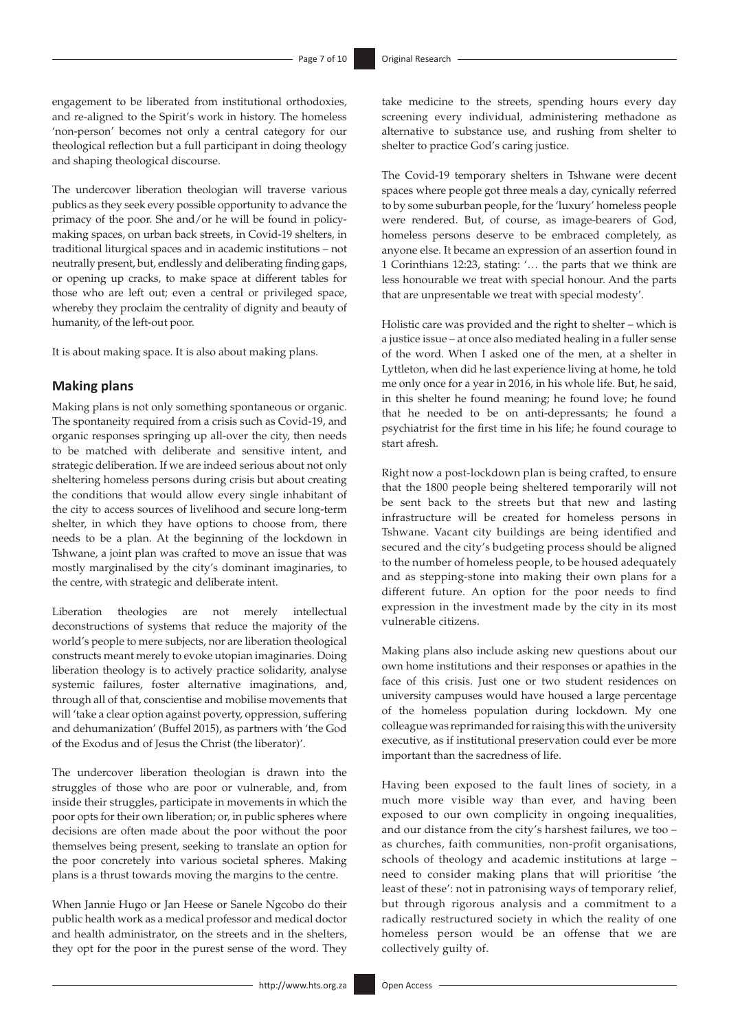engagement to be liberated from institutional orthodoxies, and re-aligned to the Spirit's work in history. The homeless 'non-person' becomes not only a central category for our theological reflection but a full participant in doing theology and shaping theological discourse.

The undercover liberation theologian will traverse various publics as they seek every possible opportunity to advance the primacy of the poor. She and/or he will be found in policymaking spaces, on urban back streets, in Covid-19 shelters, in traditional liturgical spaces and in academic institutions – not neutrally present, but, endlessly and deliberating finding gaps, or opening up cracks, to make space at different tables for those who are left out; even a central or privileged space, whereby they proclaim the centrality of dignity and beauty of humanity, of the left-out poor.

It is about making space. It is also about making plans.

### **Making plans**

Making plans is not only something spontaneous or organic. The spontaneity required from a crisis such as Covid-19, and organic responses springing up all-over the city, then needs to be matched with deliberate and sensitive intent, and strategic deliberation. If we are indeed serious about not only sheltering homeless persons during crisis but about creating the conditions that would allow every single inhabitant of the city to access sources of livelihood and secure long-term shelter, in which they have options to choose from, there needs to be a plan. At the beginning of the lockdown in Tshwane, a joint plan was crafted to move an issue that was mostly marginalised by the city's dominant imaginaries, to the centre, with strategic and deliberate intent.

Liberation theologies are not merely intellectual deconstructions of systems that reduce the majority of the world's people to mere subjects, nor are liberation theological constructs meant merely to evoke utopian imaginaries. Doing liberation theology is to actively practice solidarity, analyse systemic failures, foster alternative imaginations, and, through all of that, conscientise and mobilise movements that will 'take a clear option against poverty, oppression, suffering and dehumanization' (Buffel 2015), as partners with 'the God of the Exodus and of Jesus the Christ (the liberator)'.

The undercover liberation theologian is drawn into the struggles of those who are poor or vulnerable, and, from inside their struggles, participate in movements in which the poor opts for their own liberation; or, in public spheres where decisions are often made about the poor without the poor themselves being present, seeking to translate an option for the poor concretely into various societal spheres. Making plans is a thrust towards moving the margins to the centre.

When Jannie Hugo or Jan Heese or Sanele Ngcobo do their public health work as a medical professor and medical doctor and health administrator, on the streets and in the shelters, they opt for the poor in the purest sense of the word. They

take medicine to the streets, spending hours every day screening every individual, administering methadone as alternative to substance use, and rushing from shelter to shelter to practice God's caring justice.

The Covid-19 temporary shelters in Tshwane were decent spaces where people got three meals a day, cynically referred to by some suburban people, for the 'luxury' homeless people were rendered. But, of course, as image-bearers of God, homeless persons deserve to be embraced completely, as anyone else. It became an expression of an assertion found in 1 Corinthians 12:23, stating: '… the parts that we think are less honourable we treat with special honour. And the parts that are unpresentable we treat with special modesty'.

Holistic care was provided and the right to shelter – which is a justice issue – at once also mediated healing in a fuller sense of the word. When I asked one of the men, at a shelter in Lyttleton, when did he last experience living at home, he told me only once for a year in 2016, in his whole life. But, he said, in this shelter he found meaning; he found love; he found that he needed to be on anti-depressants; he found a psychiatrist for the first time in his life; he found courage to start afresh.

Right now a post-lockdown plan is being crafted, to ensure that the 1800 people being sheltered temporarily will not be sent back to the streets but that new and lasting infrastructure will be created for homeless persons in Tshwane. Vacant city buildings are being identified and secured and the city's budgeting process should be aligned to the number of homeless people, to be housed adequately and as stepping-stone into making their own plans for a different future. An option for the poor needs to find expression in the investment made by the city in its most vulnerable citizens.

Making plans also include asking new questions about our own home institutions and their responses or apathies in the face of this crisis. Just one or two student residences on university campuses would have housed a large percentage of the homeless population during lockdown. My one colleague was reprimanded for raising this with the university executive, as if institutional preservation could ever be more important than the sacredness of life.

Having been exposed to the fault lines of society, in a much more visible way than ever, and having been exposed to our own complicity in ongoing inequalities, and our distance from the city's harshest failures, we too – as churches, faith communities, non-profit organisations, schools of theology and academic institutions at large – need to consider making plans that will prioritise 'the least of these': not in patronising ways of temporary relief, but through rigorous analysis and a commitment to a radically restructured society in which the reality of one homeless person would be an offense that we are collectively guilty of.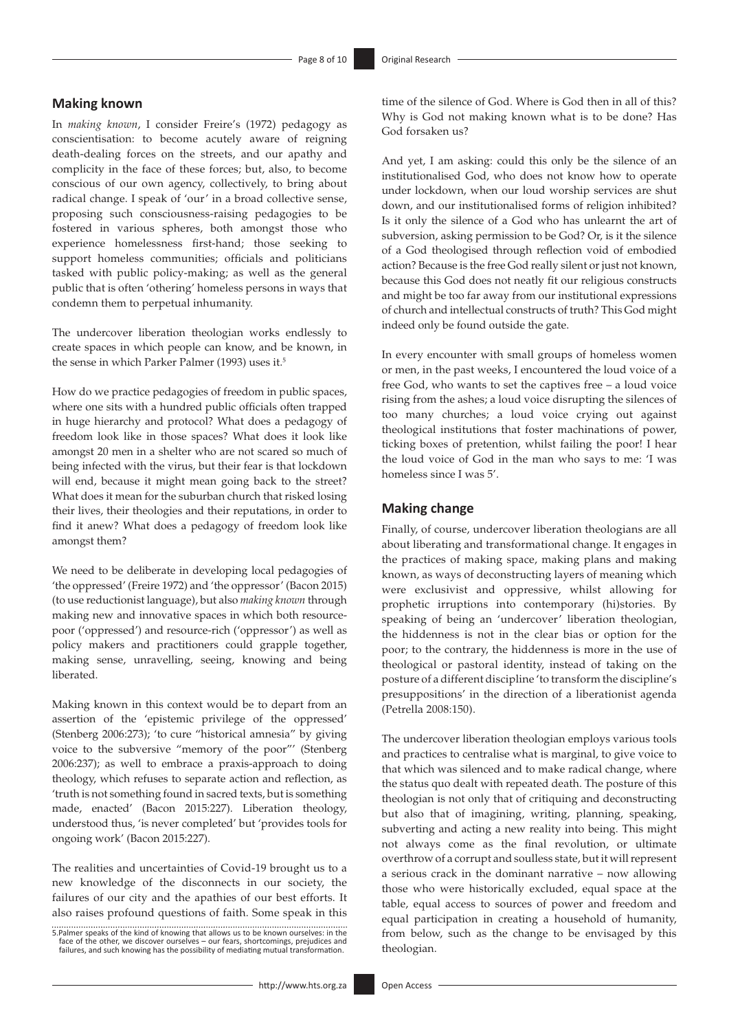### **Making known**

In *making known*, I consider Freire's (1972) pedagogy as conscientisation: to become acutely aware of reigning death-dealing forces on the streets, and our apathy and complicity in the face of these forces; but, also, to become conscious of our own agency, collectively, to bring about radical change. I speak of 'our' in a broad collective sense, proposing such consciousness-raising pedagogies to be fostered in various spheres, both amongst those who experience homelessness first-hand; those seeking to support homeless communities; officials and politicians tasked with public policy-making; as well as the general public that is often 'othering' homeless persons in ways that condemn them to perpetual inhumanity.

The undercover liberation theologian works endlessly to create spaces in which people can know, and be known, in the sense in which Parker Palmer (1993) uses it.5

How do we practice pedagogies of freedom in public spaces, where one sits with a hundred public officials often trapped in huge hierarchy and protocol? What does a pedagogy of freedom look like in those spaces? What does it look like amongst 20 men in a shelter who are not scared so much of being infected with the virus, but their fear is that lockdown will end, because it might mean going back to the street? What does it mean for the suburban church that risked losing their lives, their theologies and their reputations, in order to find it anew? What does a pedagogy of freedom look like amongst them?

We need to be deliberate in developing local pedagogies of 'the oppressed' (Freire 1972) and 'the oppressor' (Bacon 2015) (to use reductionist language), but also *making known* through making new and innovative spaces in which both resourcepoor ('oppressed') and resource-rich ('oppressor') as well as policy makers and practitioners could grapple together, making sense, unravelling, seeing, knowing and being liberated.

Making known in this context would be to depart from an assertion of the 'epistemic privilege of the oppressed' (Stenberg 2006:273); 'to cure "historical amnesia" by giving voice to the subversive "memory of the poor"' (Stenberg 2006:237); as well to embrace a praxis-approach to doing theology, which refuses to separate action and reflection, as 'truth is not something found in sacred texts, but is something made, enacted' (Bacon 2015:227). Liberation theology, understood thus, 'is never completed' but 'provides tools for ongoing work' (Bacon 2015:227).

The realities and uncertainties of Covid-19 brought us to a new knowledge of the disconnects in our society, the failures of our city and the apathies of our best efforts. It also raises profound questions of faith. Some speak in this

5.Palmer speaks of the kind of knowing that allows us to be known ourselves: in the face of the other, we discover ourselves – our fears, shortcomings, prejudices and failures, and such knowing has the possibility of mediating mutual transformation. time of the silence of God. Where is God then in all of this? Why is God not making known what is to be done? Has God forsaken us?

And yet, I am asking: could this only be the silence of an institutionalised God, who does not know how to operate under lockdown, when our loud worship services are shut down, and our institutionalised forms of religion inhibited? Is it only the silence of a God who has unlearnt the art of subversion, asking permission to be God? Or, is it the silence of a God theologised through reflection void of embodied action? Because is the free God really silent or just not known, because this God does not neatly fit our religious constructs and might be too far away from our institutional expressions of church and intellectual constructs of truth? This God might indeed only be found outside the gate.

In every encounter with small groups of homeless women or men, in the past weeks, I encountered the loud voice of a free God, who wants to set the captives free – a loud voice rising from the ashes; a loud voice disrupting the silences of too many churches; a loud voice crying out against theological institutions that foster machinations of power, ticking boxes of pretention, whilst failing the poor! I hear the loud voice of God in the man who says to me: 'I was homeless since I was 5'.

### **Making change**

Finally, of course, undercover liberation theologians are all about liberating and transformational change. It engages in the practices of making space, making plans and making known, as ways of deconstructing layers of meaning which were exclusivist and oppressive, whilst allowing for prophetic irruptions into contemporary (hi)stories. By speaking of being an 'undercover' liberation theologian, the hiddenness is not in the clear bias or option for the poor; to the contrary, the hiddenness is more in the use of theological or pastoral identity, instead of taking on the posture of a different discipline 'to transform the discipline's presuppositions' in the direction of a liberationist agenda (Petrella 2008:150).

The undercover liberation theologian employs various tools and practices to centralise what is marginal, to give voice to that which was silenced and to make radical change, where the status quo dealt with repeated death. The posture of this theologian is not only that of critiquing and deconstructing but also that of imagining, writing, planning, speaking, subverting and acting a new reality into being. This might not always come as the final revolution, or ultimate overthrow of a corrupt and soulless state, but it will represent a serious crack in the dominant narrative – now allowing those who were historically excluded, equal space at the table, equal access to sources of power and freedom and equal participation in creating a household of humanity, from below, such as the change to be envisaged by this theologian.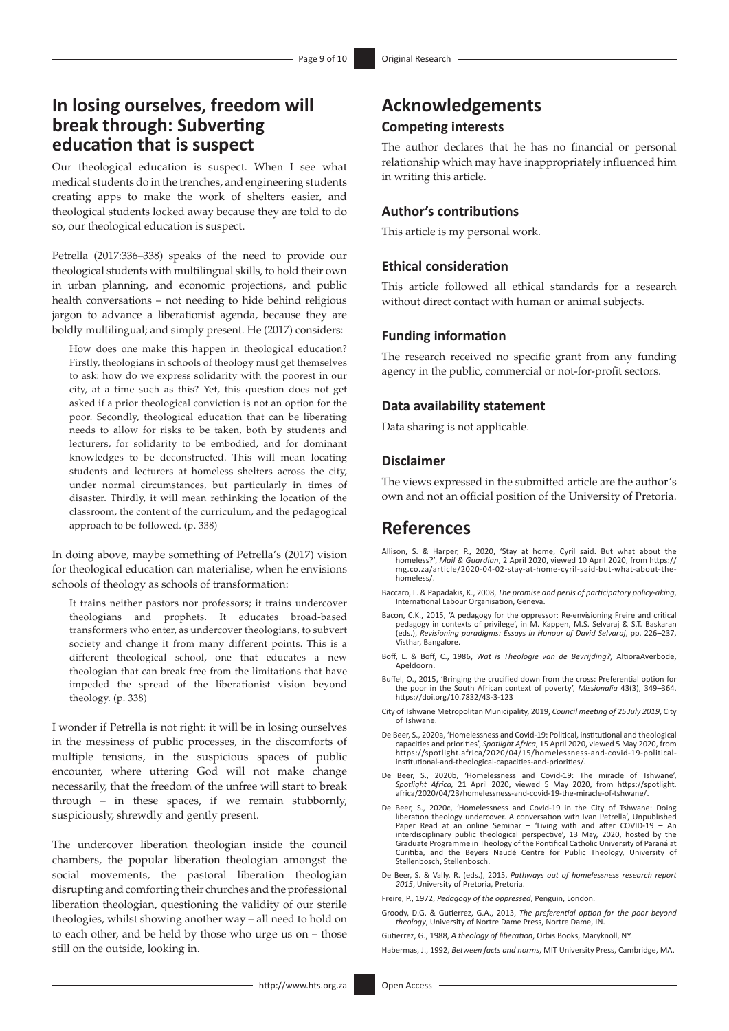# **In losing ourselves, freedom will break through: Subverting education that is suspect**

Our theological education is suspect. When I see what medical students do in the trenches, and engineering students creating apps to make the work of shelters easier, and theological students locked away because they are told to do so, our theological education is suspect.

Petrella (2017:336–338) speaks of the need to provide our theological students with multilingual skills, to hold their own in urban planning, and economic projections, and public health conversations – not needing to hide behind religious jargon to advance a liberationist agenda, because they are boldly multilingual; and simply present. He (2017) considers:

How does one make this happen in theological education? Firstly, theologians in schools of theology must get themselves to ask: how do we express solidarity with the poorest in our city, at a time such as this? Yet, this question does not get asked if a prior theological conviction is not an option for the poor. Secondly, theological education that can be liberating needs to allow for risks to be taken, both by students and lecturers, for solidarity to be embodied, and for dominant knowledges to be deconstructed. This will mean locating students and lecturers at homeless shelters across the city, under normal circumstances, but particularly in times of disaster. Thirdly, it will mean rethinking the location of the classroom, the content of the curriculum, and the pedagogical approach to be followed. (p. 338)

In doing above, maybe something of Petrella's (2017) vision for theological education can materialise, when he envisions schools of theology as schools of transformation:

It trains neither pastors nor professors; it trains undercover theologians and prophets. It educates broad-based transformers who enter, as undercover theologians, to subvert society and change it from many different points. This is a different theological school, one that educates a new theologian that can break free from the limitations that have impeded the spread of the liberationist vision beyond theology. (p. 338)

I wonder if Petrella is not right: it will be in losing ourselves in the messiness of public processes, in the discomforts of multiple tensions, in the suspicious spaces of public encounter, where uttering God will not make change necessarily, that the freedom of the unfree will start to break through – in these spaces, if we remain stubbornly, suspiciously, shrewdly and gently present.

The undercover liberation theologian inside the council chambers, the popular liberation theologian amongst the social movements, the pastoral liberation theologian disrupting and comforting their churches and the professional liberation theologian, questioning the validity of our sterile theologies, whilst showing another way – all need to hold on to each other, and be held by those who urge us on – those still on the outside, looking in.

# **Acknowledgements Competing interests**

The author declares that he has no financial or personal relationship which may have inappropriately influenced him in writing this article.

### **Author's contributions**

This article is my personal work.

### **Ethical consideration**

This article followed all ethical standards for a research without direct contact with human or animal subjects.

### **Funding information**

The research received no specific grant from any funding agency in the public, commercial or not-for-profit sectors.

#### **Data availability statement**

Data sharing is not applicable.

### **Disclaimer**

The views expressed in the submitted article are the author's own and not an official position of the University of Pretoria.

## **References**

- Allison, S. & Harper, P., 2020, 'Stay at home, Cyril said. But what about the homeless?', *Mail & Guardian*, 2 April 2020, viewed 10 April 2020, from [https://](https://mg.co.za/article/2020-04-02-stay-at-home-cyril-said-but-what-about-the-homeless/) [mg.co.za/article/2020-04-02-stay-at-home-cyril-said-but-what-about-the](https://mg.co.za/article/2020-04-02-stay-at-home-cyril-said-but-what-about-the-homeless/)[homeless/](https://mg.co.za/article/2020-04-02-stay-at-home-cyril-said-but-what-about-the-homeless/).
- Baccaro, L. & Papadakis, K., 2008, *The promise and perils of participatory policy-aking*, International Labour Organisation, Geneva.
- Bacon, C.K., 2015, 'A pedagogy for the oppressor: Re-envisioning Freire and critical pedagogy in contexts of privilege', in M. Kappen, M.S. Selvaraj & S.T. Baskaran (eds.), *Revisioning paradigms: Essays in Honour of David Selvaraj*, pp. 226–237, Visthar, Bangalore.
- Boff, L. & Boff, C., 1986, *Wat is Theologie van de Bevrijding?,* AltioraAverbode, Apeldoorn.
- Buffel, O., 2015, 'Bringing the crucified down from the cross: Preferential option for the poor in the South African context of poverty', *Missionalia* 43(3), 349–364. <https://doi.org/10.7832/43-3-123>
- City of Tshwane Metropolitan Municipality, 2019, *Council meeting of 25 July 2019*, City of Tshwane.
- De Beer, S., 2020a, 'Homelessness and Covid-19: Political, institutional and theological capacities and priorities', *Spotlight Africa*, 15 April 2020, viewed 5 May 2020, from [https://spotlight.africa/2020/04/15/homelessness-and-covid-19-political](https://spotlight.africa/2020/04/15/homelessness-and-covid-19-political-institutional-and-theological-capacities-and-priorities/)[institutional-and-theological-capacities-and-priorities/.](https://spotlight.africa/2020/04/15/homelessness-and-covid-19-political-institutional-and-theological-capacities-and-priorities/)
- De Beer, S., 2020b, 'Homelessness and Covid-19: The miracle of Tshwane',<br>Spotlight Africa, 21 April 2020, viewed 5 May 2020, from [https://spotlight.](https://spotlight.africa/2020/04/23/homelessness-and-covid-19-the-miracle-of-tshwane/)<br>[africa/2020/04/23/homelessness-and-covid-19-the-miracle-of-tshwane/](https://spotlight.africa/2020/04/23/homelessness-and-covid-19-the-miracle-of-tshwane/).
- De Beer, S., 2020c, 'Homelessness and Covid-19 in the City of Tshwane: Doing liberation theology undercover. A conversation with Ivan Petrella', Unpublished Paper Read at an online Seminar – 'Living with and after COVID-19 – An interdisciplinary public theological perspective', 13 May, 2020, hosted by the Graduate Programme in Theology of the Pontifical Catholic University of Paraná at Curitiba, and the Beyers Naudé Centre for Public Theology, University of Stellenbosch, Stellenbosch.
- De Beer, S. & Vally, R. (eds.), 2015, *Pathways out of homelessness research report 2015*, University of Pretoria, Pretoria.

Freire, P., 1972, *Pedagogy of the oppressed*, Penguin, London.

- Groody, D.G. & Gutierrez, G.A., 2013, *The preferential option for the poor beyond theology*, University of Nortre Dame Press, Nortre Dame, IN.
- Gutierrez, G., 1988, *A theology of liberation*, Orbis Books, Maryknoll, NY.

Habermas, J., 1992, *Between facts and norms*, MIT University Press, Cambridge, MA.